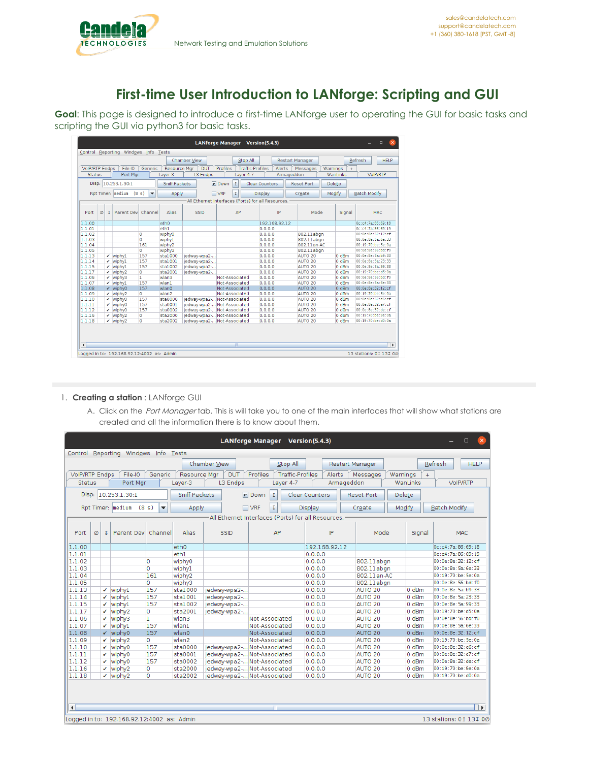**Cand** 

## **First-time User Introduction to LANforge: Scripting and GUI**

**Goal**: This page is designed to introduce a first-time LANforge user to operating the GUI for basic tasks and scripting the GUI via python3 for basic tasks.

| <b>VolP/RTP Endps</b> | File-IO            |                                                                                                                                                                                                                             |                                                                                                                                                  | Chamber View                                                                                                                             |                                              | Stop All                                                                               |                                                                                                                                                                                                     |               | <b>Restart Manager</b>                                                                                                                                                                                                                                                             |                                                                         |                                                               | Refresh                                                                              | <b>HELP</b>                                                                                                                                                                 |
|-----------------------|--------------------|-----------------------------------------------------------------------------------------------------------------------------------------------------------------------------------------------------------------------------|--------------------------------------------------------------------------------------------------------------------------------------------------|------------------------------------------------------------------------------------------------------------------------------------------|----------------------------------------------|----------------------------------------------------------------------------------------|-----------------------------------------------------------------------------------------------------------------------------------------------------------------------------------------------------|---------------|------------------------------------------------------------------------------------------------------------------------------------------------------------------------------------------------------------------------------------------------------------------------------------|-------------------------------------------------------------------------|---------------------------------------------------------------|--------------------------------------------------------------------------------------|-----------------------------------------------------------------------------------------------------------------------------------------------------------------------------|
|                       |                    | Generic                                                                                                                                                                                                                     | <b>Resource Mar</b>                                                                                                                              | <b>DUT</b>                                                                                                                               | Profiles                                     | <b>Traffic-Profiles</b>                                                                |                                                                                                                                                                                                     | <b>Alerts</b> | Messages                                                                                                                                                                                                                                                                           | Warnings                                                                | $\ddot{}$                                                     |                                                                                      |                                                                                                                                                                             |
|                       | Port Mar           |                                                                                                                                                                                                                             | Laver-3                                                                                                                                          | L3 Endps                                                                                                                                 |                                              | Laver 4-7                                                                              |                                                                                                                                                                                                     | Armageddon    |                                                                                                                                                                                                                                                                                    |                                                                         | WanLinks                                                      |                                                                                      | VoIP/RTP                                                                                                                                                                    |
|                       |                    |                                                                                                                                                                                                                             |                                                                                                                                                  |                                                                                                                                          |                                              |                                                                                        |                                                                                                                                                                                                     |               |                                                                                                                                                                                                                                                                                    |                                                                         |                                                               |                                                                                      |                                                                                                                                                                             |
|                       |                    |                                                                                                                                                                                                                             |                                                                                                                                                  |                                                                                                                                          |                                              |                                                                                        |                                                                                                                                                                                                     |               |                                                                                                                                                                                                                                                                                    |                                                                         |                                                               |                                                                                      |                                                                                                                                                                             |
|                       |                    |                                                                                                                                                                                                                             |                                                                                                                                                  |                                                                                                                                          |                                              |                                                                                        |                                                                                                                                                                                                     |               |                                                                                                                                                                                                                                                                                    |                                                                         |                                                               |                                                                                      |                                                                                                                                                                             |
|                       |                    |                                                                                                                                                                                                                             |                                                                                                                                                  |                                                                                                                                          |                                              |                                                                                        |                                                                                                                                                                                                     |               |                                                                                                                                                                                                                                                                                    |                                                                         |                                                               |                                                                                      |                                                                                                                                                                             |
|                       |                    |                                                                                                                                                                                                                             |                                                                                                                                                  |                                                                                                                                          |                                              |                                                                                        |                                                                                                                                                                                                     |               |                                                                                                                                                                                                                                                                                    |                                                                         |                                                               |                                                                                      |                                                                                                                                                                             |
|                       |                    |                                                                                                                                                                                                                             |                                                                                                                                                  |                                                                                                                                          |                                              |                                                                                        |                                                                                                                                                                                                     |               |                                                                                                                                                                                                                                                                                    |                                                                         |                                                               |                                                                                      |                                                                                                                                                                             |
|                       |                    |                                                                                                                                                                                                                             |                                                                                                                                                  |                                                                                                                                          |                                              |                                                                                        |                                                                                                                                                                                                     |               |                                                                                                                                                                                                                                                                                    |                                                                         |                                                               |                                                                                      | MAC.                                                                                                                                                                        |
|                       |                    |                                                                                                                                                                                                                             |                                                                                                                                                  |                                                                                                                                          |                                              |                                                                                        |                                                                                                                                                                                                     |               |                                                                                                                                                                                                                                                                                    |                                                                         |                                                               |                                                                                      |                                                                                                                                                                             |
|                       |                    |                                                                                                                                                                                                                             |                                                                                                                                                  |                                                                                                                                          |                                              |                                                                                        |                                                                                                                                                                                                     |               |                                                                                                                                                                                                                                                                                    |                                                                         |                                                               |                                                                                      |                                                                                                                                                                             |
|                       |                    |                                                                                                                                                                                                                             |                                                                                                                                                  |                                                                                                                                          |                                              |                                                                                        |                                                                                                                                                                                                     |               |                                                                                                                                                                                                                                                                                    |                                                                         |                                                               |                                                                                      |                                                                                                                                                                             |
|                       |                    |                                                                                                                                                                                                                             |                                                                                                                                                  |                                                                                                                                          |                                              |                                                                                        |                                                                                                                                                                                                     |               |                                                                                                                                                                                                                                                                                    |                                                                         |                                                               | 00:0e:8e:5a:6e:33                                                                    |                                                                                                                                                                             |
|                       |                    |                                                                                                                                                                                                                             |                                                                                                                                                  |                                                                                                                                          |                                              |                                                                                        |                                                                                                                                                                                                     |               |                                                                                                                                                                                                                                                                                    |                                                                         |                                                               | 00:19:70:be:5e:0a                                                                    |                                                                                                                                                                             |
|                       |                    | 0                                                                                                                                                                                                                           |                                                                                                                                                  |                                                                                                                                          |                                              |                                                                                        |                                                                                                                                                                                                     |               |                                                                                                                                                                                                                                                                                    |                                                                         |                                                               | 00:0e:8e:56:bd:f0                                                                    |                                                                                                                                                                             |
|                       |                    |                                                                                                                                                                                                                             | sta1000                                                                                                                                          |                                                                                                                                          |                                              |                                                                                        |                                                                                                                                                                                                     |               | AUTO 20                                                                                                                                                                                                                                                                            |                                                                         | 0 <sub>dBm</sub>                                              | 00:0e:8e:5a:b9:33                                                                    |                                                                                                                                                                             |
|                       |                    |                                                                                                                                                                                                                             | sta1001                                                                                                                                          |                                                                                                                                          |                                              |                                                                                        |                                                                                                                                                                                                     |               | AUTO <sub>20</sub>                                                                                                                                                                                                                                                                 |                                                                         | 0 dBm                                                         | 00:0e:8e:5a:23:33                                                                    |                                                                                                                                                                             |
|                       |                    |                                                                                                                                                                                                                             | sta1002                                                                                                                                          |                                                                                                                                          |                                              |                                                                                        |                                                                                                                                                                                                     |               | AUTO <sub>20</sub>                                                                                                                                                                                                                                                                 |                                                                         | 0 <sub>dBm</sub>                                              | 00:0e:8e:5a:99:33                                                                    |                                                                                                                                                                             |
| ✓                     |                    | O                                                                                                                                                                                                                           | sta2001                                                                                                                                          |                                                                                                                                          |                                              |                                                                                        |                                                                                                                                                                                                     |               | AUTO <sub>20</sub>                                                                                                                                                                                                                                                                 |                                                                         | 0 <sub>dBm</sub>                                              | 00:19:70:be:d5:0a                                                                    |                                                                                                                                                                             |
| ↙                     |                    |                                                                                                                                                                                                                             | wlan3                                                                                                                                            |                                                                                                                                          |                                              |                                                                                        |                                                                                                                                                                                                     |               | AUTO <sub>20</sub>                                                                                                                                                                                                                                                                 |                                                                         | 0 <sub>dBm</sub>                                              | 00:0e:8e:56:bd:f0                                                                    |                                                                                                                                                                             |
|                       |                    |                                                                                                                                                                                                                             | wlan1                                                                                                                                            |                                                                                                                                          |                                              |                                                                                        |                                                                                                                                                                                                     |               | AUTO 20                                                                                                                                                                                                                                                                            |                                                                         | 0 <sub>dBm</sub>                                              | 00:0e:8e:5a:6e:33                                                                    |                                                                                                                                                                             |
|                       |                    |                                                                                                                                                                                                                             |                                                                                                                                                  |                                                                                                                                          |                                              |                                                                                        |                                                                                                                                                                                                     |               |                                                                                                                                                                                                                                                                                    |                                                                         |                                                               |                                                                                      |                                                                                                                                                                             |
|                       |                    |                                                                                                                                                                                                                             |                                                                                                                                                  |                                                                                                                                          |                                              |                                                                                        |                                                                                                                                                                                                     |               |                                                                                                                                                                                                                                                                                    |                                                                         |                                                               |                                                                                      |                                                                                                                                                                             |
|                       |                    |                                                                                                                                                                                                                             | sta0000                                                                                                                                          |                                                                                                                                          |                                              |                                                                                        |                                                                                                                                                                                                     |               | AUTO <sub>20</sub>                                                                                                                                                                                                                                                                 |                                                                         | 0 <sub>dBm</sub>                                              | 00:0e:8e:32:e6:cf                                                                    |                                                                                                                                                                             |
| ↙                     |                    |                                                                                                                                                                                                                             |                                                                                                                                                  |                                                                                                                                          |                                              |                                                                                        |                                                                                                                                                                                                     |               |                                                                                                                                                                                                                                                                                    |                                                                         |                                                               |                                                                                      |                                                                                                                                                                             |
| ✓                     |                    |                                                                                                                                                                                                                             |                                                                                                                                                  |                                                                                                                                          |                                              |                                                                                        |                                                                                                                                                                                                     |               | AUTO <sub>20</sub>                                                                                                                                                                                                                                                                 |                                                                         |                                                               |                                                                                      |                                                                                                                                                                             |
| ↙                     | wiphy <sub>2</sub> | $\overline{0}$<br>$\overline{0}$                                                                                                                                                                                            | sta2000                                                                                                                                          | jedway-wpa2- Not-Associated                                                                                                              |                                              |                                                                                        | 0.0.0.0                                                                                                                                                                                             |               | AUTO <sub>20</sub>                                                                                                                                                                                                                                                                 |                                                                         | 0 dBm                                                         | 00:19:70:be:9e:0a                                                                    |                                                                                                                                                                             |
|                       | $\nu$ wiphy2       |                                                                                                                                                                                                                             | sta2002                                                                                                                                          | iedway-wpa2- Not-Associated                                                                                                              |                                              |                                                                                        | 0.0.0.0                                                                                                                                                                                             |               | AUTO <sub>20</sub>                                                                                                                                                                                                                                                                 |                                                                         | 0 <sub>dBm</sub>                                              | 00:19:70:be:d0:0a                                                                    |                                                                                                                                                                             |
|                       | $\mathbf{I}$       | 10.253.1.30:1<br>Rpt Timer: medium<br>$\checkmark$ wiphyl<br>$\checkmark$ wiphyl<br>$\nu$ wiphyl<br>wiphy <sub>2</sub><br>wiphy3<br>$\nu$ wiphyl<br>$\checkmark$ wiphy0<br>$\nu$ wiphy2<br>$\nu$ wiphy0<br>wiphy0<br>wiphy0 | (8 s)<br>$\overline{\phantom{0}}$<br>Parent Dev<br>$\Omega$<br>0<br>161<br>157<br>157<br>157<br>n<br>157<br>157<br>$\Omega$<br>157<br>157<br>157 | Alias<br>Channel<br>e <sub>th0</sub><br>eth1<br>wiphy0<br>wiphy1<br>wiphy <sub>2</sub><br>wiphy3<br>wlan0<br>wlan2<br>sta0001<br>sta0002 | <b>Sniff Packets</b><br>Apply<br><b>SSID</b> | $V$ Down<br>$\Box$ VRF<br>jedway-wpa2-<br>jedway-wpa2-<br>jedway-wpa2-<br>jedway-wpa2- | $\mathbf{r}$<br>τ<br><b>AP</b><br>Not-Associated<br>Not-Associated<br>Not-Associated<br>Not-Associated<br>iedway-wpa2- Not-Associated<br>jedway-wpa2- Not-Associated<br>jedway-wpa2- Not-Associated | Display       | <b>Clear Counters</b><br>All Ethernet Interfaces (Ports) for all Resources.<br>IP<br>192.168.92.12<br>0.0.0.0<br>0.0.0.0<br>0.0.0.0<br>0.0.0.0<br>0.0.0.0<br>0.0.0.0<br>0.0.0.0<br>0.0.0.0<br>0.0.0.0<br>0.0.0.0<br>0.0.0.0<br>0.0.0.0<br>0.0.0.0<br>0.0.0.0<br>0.0.0.0<br>0.0.0.0 | <b>Reset Port</b><br>Create<br>AUTO 20<br>AUTO 20<br>AUTO <sub>20</sub> | Mode<br>802.11abgn<br>802.11abqn<br>802.11an-AC<br>802.11abqn | Delete<br>Modify<br>Signal<br>0 <sub>dBm</sub><br>0 dBm<br>0 dBm<br>0 <sub>dBm</sub> | <b>Batch Modify</b><br>0c:c4:7a:86:69:18<br>0c: c4: 7a: 86: 69: 19<br>00:0e:8e:32:12:cf<br>00:0e:8e:32:12:cf<br>00:19:70:be:5e:0a<br>00:0e:8e:32:e7:cf<br>00:0e:8e:32:de:cf |

## 1. **Creating a station** : LANforge GUI

A. Click on the Port Manager tab. This is will take you to one of the main interfaces that will show what stations are created and all the information there is to know about them.

|                           |                                                                      |                      |                                      |                |              |                            |                         |                             |                                        | LANforge Manager Version(5.4.3)                    |                    |                      |                    |                             |                        |                     |                    |                    |     | $\mathsf{x}$<br>$\Box$ |
|---------------------------|----------------------------------------------------------------------|----------------------|--------------------------------------|----------------|--------------|----------------------------|-------------------------|-----------------------------|----------------------------------------|----------------------------------------------------|--------------------|----------------------|--------------------|-----------------------------|------------------------|---------------------|--------------------|--------------------|-----|------------------------|
|                           |                                                                      |                      | Control Reporting Windows Info Tests |                |              |                            |                         |                             |                                        |                                                    |                    |                      |                    |                             |                        |                     |                    |                    |     |                        |
|                           |                                                                      |                      |                                      |                |              | Chamber View               |                         |                             |                                        | Stop All                                           |                    |                      |                    | <b>Restart Manager</b>      |                        |                     |                    | Refresh            |     | <b>HELP</b>            |
| <b>VolP/RTP Endps</b>     |                                                                      |                      | File-IO                              | Generic        | Resource Mgr |                            | DUT                     | Profiles                    |                                        | <b>Traffic-Profiles</b>                            |                    | Alerts               |                    | Messages                    | Warnings               |                     | $+$                |                    |     |                        |
| Port Mar<br><b>Status</b> |                                                                      |                      | Layer-3                              | L3 Endps       |              |                            | Armageddon<br>Layer 4-7 |                             |                                        |                                                    |                    | WanLinks<br>VoIP/RTP |                    |                             |                        |                     |                    |                    |     |                        |
|                           |                                                                      |                      |                                      |                |              |                            |                         |                             |                                        |                                                    |                    |                      |                    |                             |                        |                     |                    |                    |     |                        |
| Disp: 10.253.1.30:1       |                                                                      | <b>Sniff Packets</b> |                                      |                | $V$ Down     | <b>Clear Counters</b><br>1 |                         | <b>Reset Port</b>           |                                        | Delete                                             |                    |                      |                    |                             |                        |                     |                    |                    |     |                        |
|                           | (8 s)<br>Rpt Timer: Imedium<br>$\overline{\mathbf{v}}$               |                      | Apply                                |                |              | $\Box$ VRF                 | τ                       |                             | Display                                |                                                    | Create             |                      |                    | Modify                      |                        | <b>Batch Modify</b> |                    |                    |     |                        |
|                           |                                                                      |                      |                                      |                |              |                            |                         |                             |                                        | All Ethernet Interfaces (Ports) for all Resources. |                    |                      |                    |                             |                        |                     |                    |                    |     |                        |
|                           |                                                                      |                      |                                      |                |              |                            |                         |                             |                                        |                                                    |                    |                      |                    |                             |                        |                     |                    |                    |     |                        |
| Port                      | Ø                                                                    | τ                    | Parent Dev                           | Channel        | Alias        |                            | <b>SSID</b>             |                             | AP                                     |                                                    |                    | IP                   |                    | Mode                        |                        | Signal              |                    |                    | MAC |                        |
|                           |                                                                      |                      |                                      |                |              |                            |                         |                             |                                        |                                                    |                    |                      |                    |                             |                        |                     |                    |                    |     |                        |
| 1.1.00                    |                                                                      |                      |                                      |                | eth0         |                            |                         |                             |                                        |                                                    |                    | 192.168.92.12        |                    |                             |                        |                     |                    | 0c: c4:7a:86:69:18 |     |                        |
| 1.1.01                    |                                                                      |                      |                                      |                | eth1         |                            |                         |                             |                                        |                                                    | 0.0.0.0            |                      |                    |                             |                        |                     | 0c: c4:7a:86:69:19 |                    |     |                        |
| 1.1.02                    |                                                                      |                      |                                      | O              | wiphy0       |                            |                         |                             |                                        |                                                    | 0.0.0.0            |                      |                    |                             | 802.11abgn             |                     | 00:0e:8e:32:12:cf  |                    |     |                        |
| 1.1.03                    |                                                                      |                      |                                      | $\overline{0}$ | wiphyl       |                            |                         |                             |                                        |                                                    | 0.0.0.0            |                      |                    | 802.11abgn                  |                        |                     |                    | 00:0e:8e:5a:6e:33  |     |                        |
| 1.1.04                    |                                                                      |                      |                                      | 161            | wiphy2       |                            |                         |                             |                                        |                                                    | 0.0.0.0            |                      | 802.11an-AC        |                             | $00:19:70:b$ e: 5e: 0a |                     |                    |                    |     |                        |
| 1.1.05                    |                                                                      |                      |                                      | O              | wiphy3       |                            |                         |                             |                                        |                                                    | 0.0.0.0            |                      |                    | 802.11abgn                  |                        |                     |                    | 00:0e:8e:56:bd:50  |     |                        |
| 1.1.13                    |                                                                      |                      | $\checkmark$ wiphyl                  | 157            | sta1000      |                            | jedway-wpa2-            |                             |                                        |                                                    | 0.0.0.0            |                      |                    | AUTO <sub>20</sub>          |                        | 0 <sub>dBm</sub>    |                    | 00:0e:8e:5a:b9:33  |     |                        |
| 1.1.14                    |                                                                      | ✔                    | wiphy1                               | 157            | sta1001      |                            | jedway-wpa2-            |                             | 0.0.0.0                                |                                                    |                    | AUTO <sub>20</sub>   | 0 dBm              |                             |                        | 00:0e:8e:5a:23:33   |                    |                    |     |                        |
| 1.1.15                    |                                                                      | ✔                    | wiphyl                               | 157            | stal002      |                            | jedway-wpa2-            |                             |                                        |                                                    | 0.0.0.0            |                      |                    | AUTO <sub>20</sub>          |                        | 0 dBm               |                    | 00:0e:8e:5a:99:33  |     |                        |
| 1.1.17                    |                                                                      | ✓                    | wiphy <sub>2</sub>                   | 0              | sta2001      |                            | jedway-wpa2-            |                             |                                        |                                                    | 0.0.0.0            |                      |                    | 0 dBm<br>AUTO <sub>20</sub> |                        | 00:19:70:be:d5:0a   |                    |                    |     |                        |
| 1.1.06                    |                                                                      | ✓                    | wiphy3                               | $\overline{1}$ | wlan3        |                            |                         | Not-Associated              |                                        |                                                    | 0.0.0.0            |                      |                    | AUTO <sub>20</sub>          |                        | 0 dBm               |                    | 00:0e:8e:56:bd: f0 |     |                        |
| 1.1.07                    |                                                                      |                      | $\checkmark$ wiphyl                  | 157            | wlan1        |                            |                         |                             | 0.0.0.0<br>Not-Associated              |                                                    |                    |                      | AUTO <sub>20</sub> |                             | 0 <sub>dBm</sub>       |                     | 00:0e:8e:5a:6e:33  |                    |     |                        |
| 1.1.08                    |                                                                      |                      | $\checkmark$ wiphy0                  | 157            | wlan0        |                            |                         | Not-Associated              |                                        |                                                    | 0.0.0.0            |                      |                    | AUTO <sub>20</sub>          |                        | 0 dBm               |                    | 00:0e:8e:32:12:cf  |     |                        |
| 1.1.09                    |                                                                      | ✓                    | wiphy <sub>2</sub>                   | O              | wlan2        |                            |                         |                             | Not-Associated<br>0.0.0.0              |                                                    |                    | AUTO <sub>20</sub>   |                    | 0 dBm                       |                        | 00:19:70:be:5e:0a   |                    |                    |     |                        |
| 1.1.10                    |                                                                      | ✓                    | wiphy0                               | 157            | sta0000      |                            |                         | jedway-wpa2- Not-Associated |                                        |                                                    | 0.0.0.0            |                      |                    | AUTO <sub>20</sub>          |                        | 0 dBm               | 00:0e:8e:32:e6:cf  |                    |     |                        |
| 1.1.11                    |                                                                      | ✓                    | wiphy0                               | 157            | sta0001      |                            |                         | jedway-wpa2- Not-Associated |                                        |                                                    | 0.0.0.0            |                      |                    | AUTO <sub>20</sub>          |                        | 0 dBm               |                    | 00:0e:8e:32:e7:cf  |     |                        |
| 1.1.12                    |                                                                      | ✓                    | wiphy0                               | 157            | sta0002      |                            |                         | jedway-wpa2- Not-Associated |                                        |                                                    | 0.0.0.0            |                      |                    | AUTO <sub>20</sub>          |                        | 0 dBm               |                    | 00:0e:8e:32:de:cf  |     |                        |
| 1.1.16                    |                                                                      |                      | $\checkmark$ wiphy2                  | O              | sta2000      |                            |                         |                             | jedway-wpa2- Not-Associated<br>0.0.0.0 |                                                    | AUTO <sub>20</sub> |                      | 0 dBm              |                             | 00:19:70:be:9e:0a      |                     |                    |                    |     |                        |
| 1.1.18                    |                                                                      |                      | $\checkmark$ wiphy2                  | O              | sta2002      |                            |                         | jedway-wpa2- Not-Associated |                                        |                                                    | 0.0.0.0            |                      |                    | AUTO <sub>20</sub>          |                        | 0 dBm               |                    | 00:19:70:be:d0:0a  |     |                        |
|                           |                                                                      |                      |                                      |                |              |                            |                         |                             |                                        |                                                    |                    |                      |                    |                             |                        |                     |                    |                    |     |                        |
| $\vert \vert$             |                                                                      |                      |                                      |                |              |                            |                         |                             | Ш                                      |                                                    |                    |                      |                    |                             |                        |                     |                    |                    |     | $\mathbf{F}$           |
|                           | Logged in to: 192.168.92.12:4002 as: Admin<br>13 stations: 01 131 00 |                      |                                      |                |              |                            |                         |                             |                                        |                                                    |                    |                      |                    |                             |                        |                     |                    |                    |     |                        |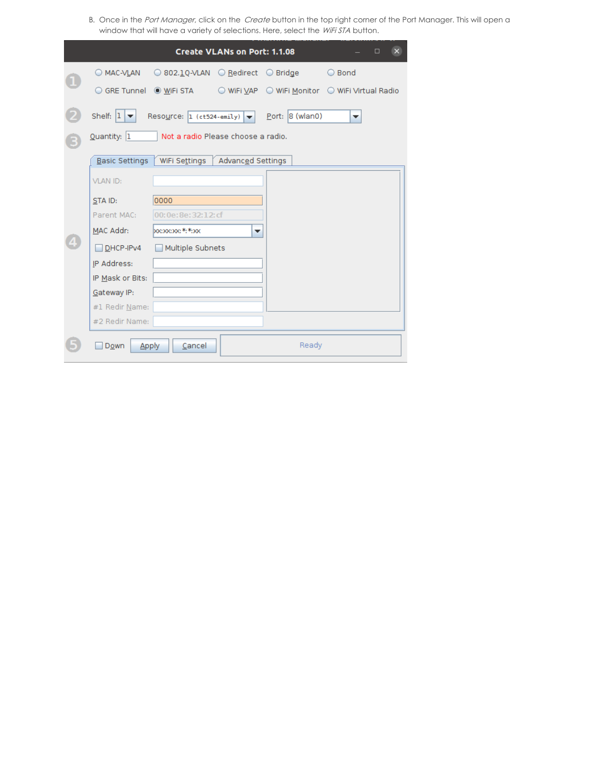B. Once in the Port Manager, click on the Create button in the top right corner of the Port Manager. This will open a window that will have a variety of selections. Here, select the WiFi STA button.

|  |                        |                                                                     | <b>Create VLANs on Port: 1.1.08</b> |                   | $\mathbf{X}$<br>$\Box$ |  |  |  |
|--|------------------------|---------------------------------------------------------------------|-------------------------------------|-------------------|------------------------|--|--|--|
|  |                        | ◎ MAC-VLAN   ◎ 802. <u>1</u> Q-VLAN   ◎ <u>R</u> edirect   ◎ Bridge |                                     |                   | ○ Bond                 |  |  |  |
|  |                        |                                                                     |                                     |                   |                        |  |  |  |
|  | Shelf: $ 1 - \bullet $ | Resource: $1$ (ct524-emily) $\blacktriangledown$                    |                                     | $Port: 8$ (wlan0) | ▼                      |  |  |  |
|  | Quantity: 1            | Not a radio Please choose a radio.                                  |                                     |                   |                        |  |  |  |
|  | Basic Settings         | WiFi Settings                                                       | Advanced Settings                   |                   |                        |  |  |  |
|  | <b>VLAN ID:</b>        |                                                                     |                                     |                   |                        |  |  |  |
|  | STA ID:                | 0000                                                                |                                     |                   |                        |  |  |  |
|  | Parent MAC:            | 00:0e:8e:32:12:cf                                                   |                                     |                   |                        |  |  |  |
|  | MAC Addr:              | boc:xoc:xoc:*:*:xoc                                                 | ▼                                   |                   |                        |  |  |  |
|  | DHCP-IPv4              | Multiple Subnets                                                    |                                     |                   |                        |  |  |  |
|  | IP Address:            |                                                                     |                                     |                   |                        |  |  |  |
|  | IP Mask or Bits:       |                                                                     |                                     |                   |                        |  |  |  |
|  | Gateway IP:            |                                                                     |                                     |                   |                        |  |  |  |
|  | #1 Redir Name:         |                                                                     |                                     |                   |                        |  |  |  |
|  | #2 Redir Name:         |                                                                     |                                     |                   |                        |  |  |  |
|  | <b>Apply</b><br>Down   | Cancel                                                              |                                     | Ready             |                        |  |  |  |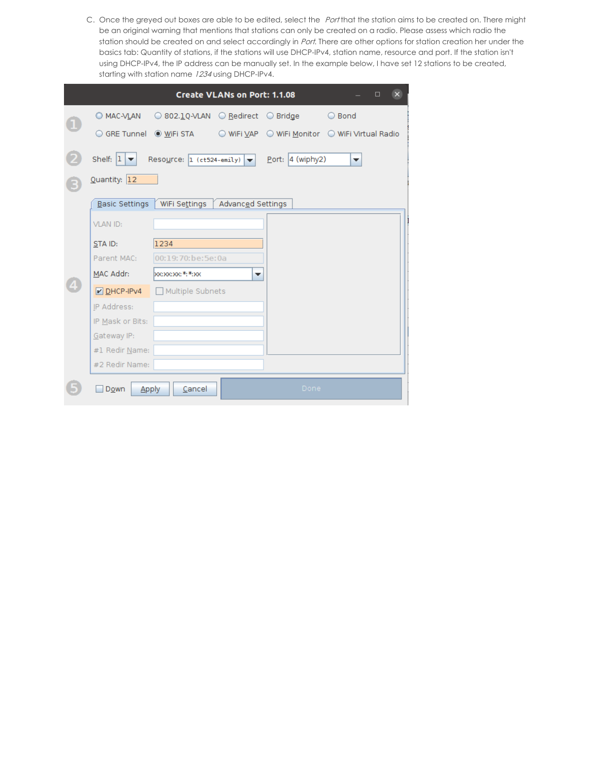C. Once the greyed out boxes are able to be edited, select the Port that the station aims to be created on. There might be an original warning that mentions that stations can only be created on a radio. Please assess which radio the station should be created on and select accordingly in Port. There are other options for station creation her under the basics tab: Quantity of stations, if the stations will use DHCP-IPv4, station name, resource and port. If the station isn't using DHCP-IPv4, the IP address can be manually set. In the example below, I have set 12 stations to be created, starting with station name 1234 using DHCP-IPv4.

|                                    |                                                                                             | <b>Create VLANs on Port: 1.1.08</b> |                    | $\mathbf{X}$<br>$\Box$ |
|------------------------------------|---------------------------------------------------------------------------------------------|-------------------------------------|--------------------|------------------------|
|                                    | $\oslash$ MAC-VLAN $\oslash$ 802.1Q-VLAN $\oslash$ Redirect $\oslash$ Bridge $\oslash$ Bond |                                     |                    |                        |
|                                    |                                                                                             |                                     |                    |                        |
| Shelf: $ 1 $ $\blacktriangleright$ | Resource: $1$ (ct524-emily) $\blacktriangledown$                                            |                                     | Port: $4$ (wiphy2) | ▼                      |
| Quantity: 12                       |                                                                                             |                                     |                    |                        |
| Basic Settings                     | │ WiFi Se <u>t</u> tings │                                                                  | Advanced Settings                   |                    |                        |
| VLAN ID:                           |                                                                                             |                                     |                    |                        |
| STA ID:                            | 1234                                                                                        |                                     |                    |                        |
| Parent MAC:                        | 00:19:70:be:5e:0a                                                                           |                                     |                    |                        |
| MAC Addr:                          | <b>boc:xoc:xoc:*:*:xoc</b>                                                                  | ▼                                   |                    |                        |
| $\n  DHCP-HPv4\n$                  | Multiple Subnets                                                                            |                                     |                    |                        |
| IP Address:                        |                                                                                             |                                     |                    |                        |
| IP Mask or Bits:                   |                                                                                             |                                     |                    |                        |
| Gateway IP:                        |                                                                                             |                                     |                    |                        |
| #1 Redir Name:                     |                                                                                             |                                     |                    |                        |
| #2 Redir Name:                     |                                                                                             |                                     |                    |                        |
| Down                               | Cancel<br>Apply                                                                             |                                     | Done               |                        |